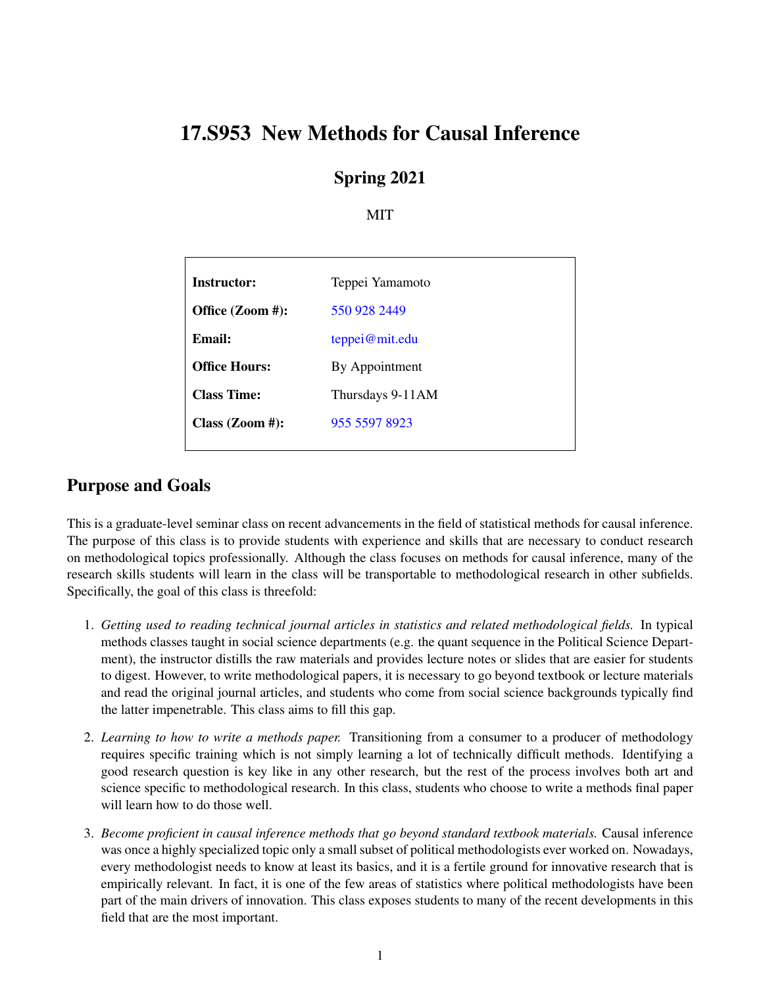# 17.S953 New Methods for Causal Inference

### Spring 2021

#### MIT

| Instructor:          | Teppei Yamamoto  |
|----------------------|------------------|
| Office (Zoom #):     | 550 928 2449     |
| Email:               | teppei@mit.edu   |
| <b>Office Hours:</b> | By Appointment   |
| <b>Class Time:</b>   | Thursdays 9-11AM |
| Class $(Zoom \#):$   | 955 5597 8923    |
|                      |                  |

### Purpose and Goals

This is a graduate-level seminar class on recent advancements in the field of statistical methods for causal inference. The purpose of this class is to provide students with experience and skills that are necessary to conduct research on methodological topics professionally. Although the class focuses on methods for causal inference, many of the research skills students will learn in the class will be transportable to methodological research in other subfields. Specifically, the goal of this class is threefold:

- 1. *Getting used to reading technical journal articles in statistics and related methodological fields.* In typical methods classes taught in social science departments (e.g. the quant sequence in the Political Science Department), the instructor distills the raw materials and provides lecture notes or slides that are easier for students to digest. However, to write methodological papers, it is necessary to go beyond textbook or lecture materials and read the original journal articles, and students who come from social science backgrounds typically find the latter impenetrable. This class aims to fill this gap.
- 2. *Learning to how to write a methods paper.* Transitioning from a consumer to a producer of methodology requires specific training which is not simply learning a lot of technically difficult methods. Identifying a good research question is key like in any other research, but the rest of the process involves both art and science specific to methodological research. In this class, students who choose to write a methods final paper will learn how to do those well.
- 3. *Become proficient in causal inference methods that go beyond standard textbook materials.* Causal inference was once a highly specialized topic only a small subset of political methodologists ever worked on. Nowadays, every methodologist needs to know at least its basics, and it is a fertile ground for innovative research that is empirically relevant. In fact, it is one of the few areas of statistics where political methodologists have been part of the main drivers of innovation. This class exposes students to many of the recent developments in this field that are the most important.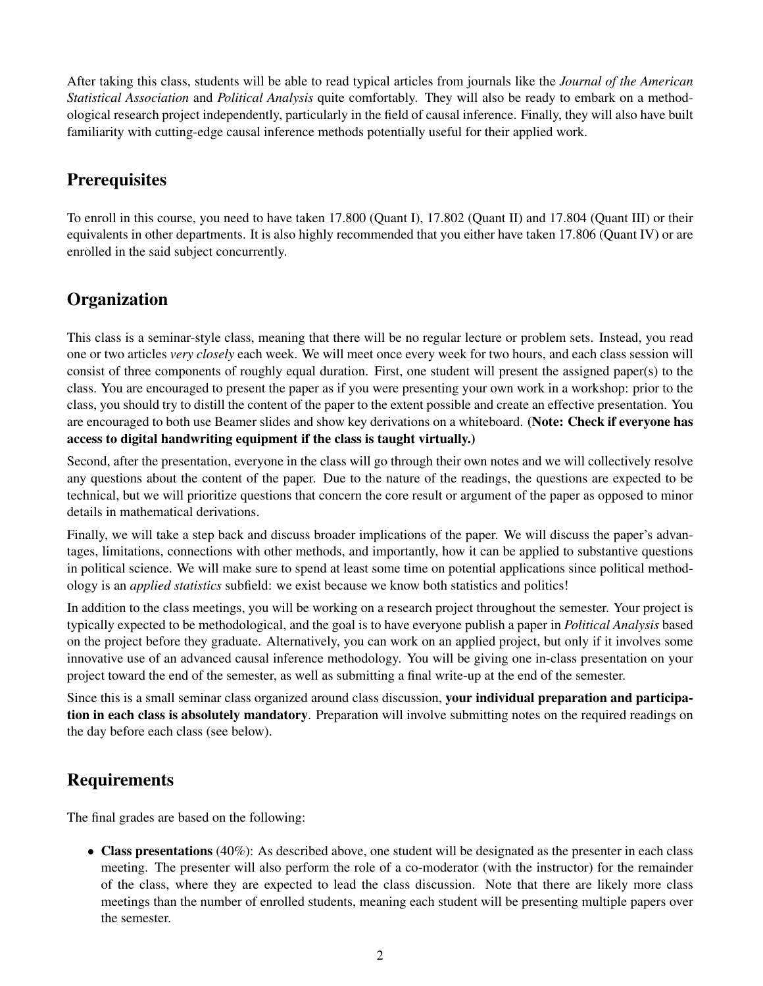After taking this class, students will be able to read typical articles from journals like the *Journal of the American Statistical Association* and *Political Analysis* quite comfortably. They will also be ready to embark on a methodological research project independently, particularly in the field of causal inference. Finally, they will also have built familiarity with cutting-edge causal inference methods potentially useful for their applied work.

## **Prerequisites**

To enroll in this course, you need to have taken 17.800 (Quant I), 17.802 (Quant II) and 17.804 (Quant III) or their equivalents in other departments. It is also highly recommended that you either have taken 17.806 (Quant IV) or are enrolled in the said subject concurrently.

### **Organization**

This class is a seminar-style class, meaning that there will be no regular lecture or problem sets. Instead, you read one or two articles *very closely* each week. We will meet once every week for two hours, and each class session will consist of three components of roughly equal duration. First, one student will present the assigned paper(s) to the class. You are encouraged to present the paper as if you were presenting your own work in a workshop: prior to the class, you should try to distill the content of the paper to the extent possible and create an effective presentation. You are encouraged to both use Beamer slides and show key derivations on a whiteboard. (Note: Check if everyone has access to digital handwriting equipment if the class is taught virtually.)

Second, after the presentation, everyone in the class will go through their own notes and we will collectively resolve any questions about the content of the paper. Due to the nature of the readings, the questions are expected to be technical, but we will prioritize questions that concern the core result or argument of the paper as opposed to minor details in mathematical derivations.

Finally, we will take a step back and discuss broader implications of the paper. We will discuss the paper's advantages, limitations, connections with other methods, and importantly, how it can be applied to substantive questions in political science. We will make sure to spend at least some time on potential applications since political methodology is an *applied statistics* subfield: we exist because we know both statistics and politics!

In addition to the class meetings, you will be working on a research project throughout the semester. Your project is typically expected to be methodological, and the goal is to have everyone publish a paper in *Political Analysis* based on the project before they graduate. Alternatively, you can work on an applied project, but only if it involves some innovative use of an advanced causal inference methodology. You will be giving one in-class presentation on your project toward the end of the semester, as well as submitting a final write-up at the end of the semester.

Since this is a small seminar class organized around class discussion, your individual preparation and participation in each class is absolutely mandatory. Preparation will involve submitting notes on the required readings on the day before each class (see below).

# Requirements

The final grades are based on the following:

• Class presentations (40%): As described above, one student will be designated as the presenter in each class meeting. The presenter will also perform the role of a co-moderator (with the instructor) for the remainder of the class, where they are expected to lead the class discussion. Note that there are likely more class meetings than the number of enrolled students, meaning each student will be presenting multiple papers over the semester.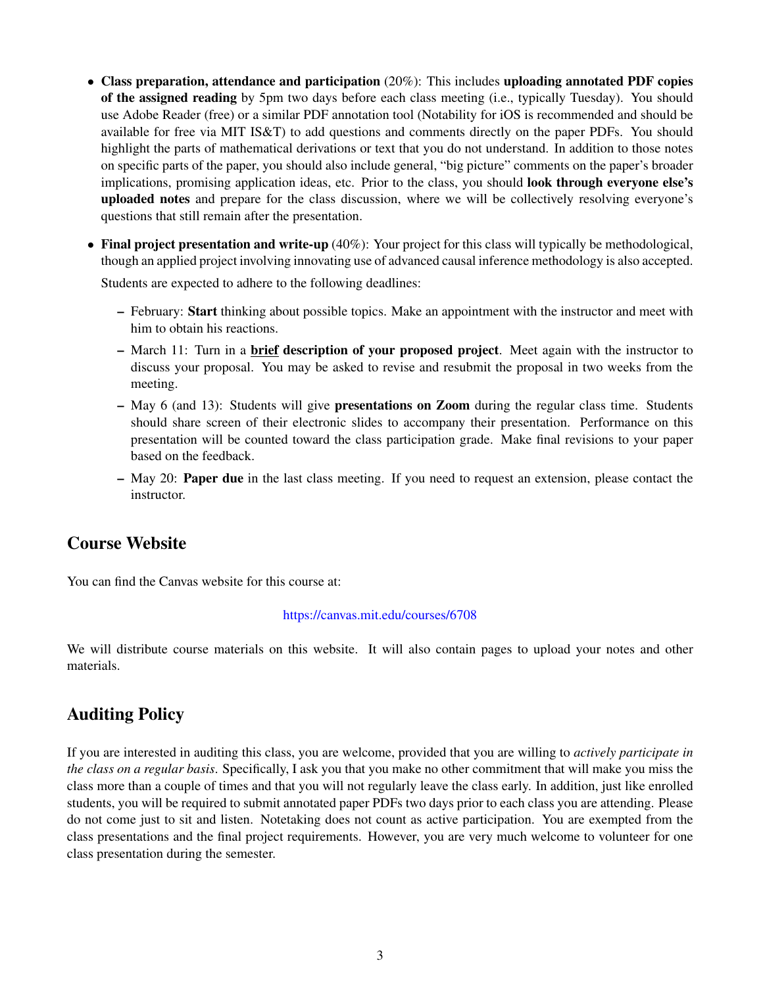- Class preparation, attendance and participation (20%): This includes uploading annotated PDF copies of the assigned reading by 5pm two days before each class meeting (i.e., typically Tuesday). You should use Adobe Reader (free) or a similar PDF annotation tool (Notability for iOS is recommended and should be available for free via MIT IS&T) to add questions and comments directly on the paper PDFs. You should highlight the parts of mathematical derivations or text that you do not understand. In addition to those notes on specific parts of the paper, you should also include general, "big picture" comments on the paper's broader implications, promising application ideas, etc. Prior to the class, you should **look through everyone else's** uploaded notes and prepare for the class discussion, where we will be collectively resolving everyone's questions that still remain after the presentation.
- Final project presentation and write-up (40%): Your project for this class will typically be methodological, though an applied project involving innovating use of advanced causal inference methodology is also accepted.

Students are expected to adhere to the following deadlines:

- February: Start thinking about possible topics. Make an appointment with the instructor and meet with him to obtain his reactions.
- March 11: Turn in a brief description of your proposed project. Meet again with the instructor to discuss your proposal. You may be asked to revise and resubmit the proposal in two weeks from the meeting.
- May 6 (and 13): Students will give presentations on Zoom during the regular class time. Students should share screen of their electronic slides to accompany their presentation. Performance on this presentation will be counted toward the class participation grade. Make final revisions to your paper based on the feedback.
- May 20: Paper due in the last class meeting. If you need to request an extension, please contact the instructor.

#### Course Website

You can find the Canvas website for this course at:

#### <https://canvas.mit.edu/courses/6708>

We will distribute course materials on this website. It will also contain pages to upload your notes and other materials.

#### Auditing Policy

If you are interested in auditing this class, you are welcome, provided that you are willing to *actively participate in the class on a regular basis*. Specifically, I ask you that you make no other commitment that will make you miss the class more than a couple of times and that you will not regularly leave the class early. In addition, just like enrolled students, you will be required to submit annotated paper PDFs two days prior to each class you are attending. Please do not come just to sit and listen. Notetaking does not count as active participation. You are exempted from the class presentations and the final project requirements. However, you are very much welcome to volunteer for one class presentation during the semester.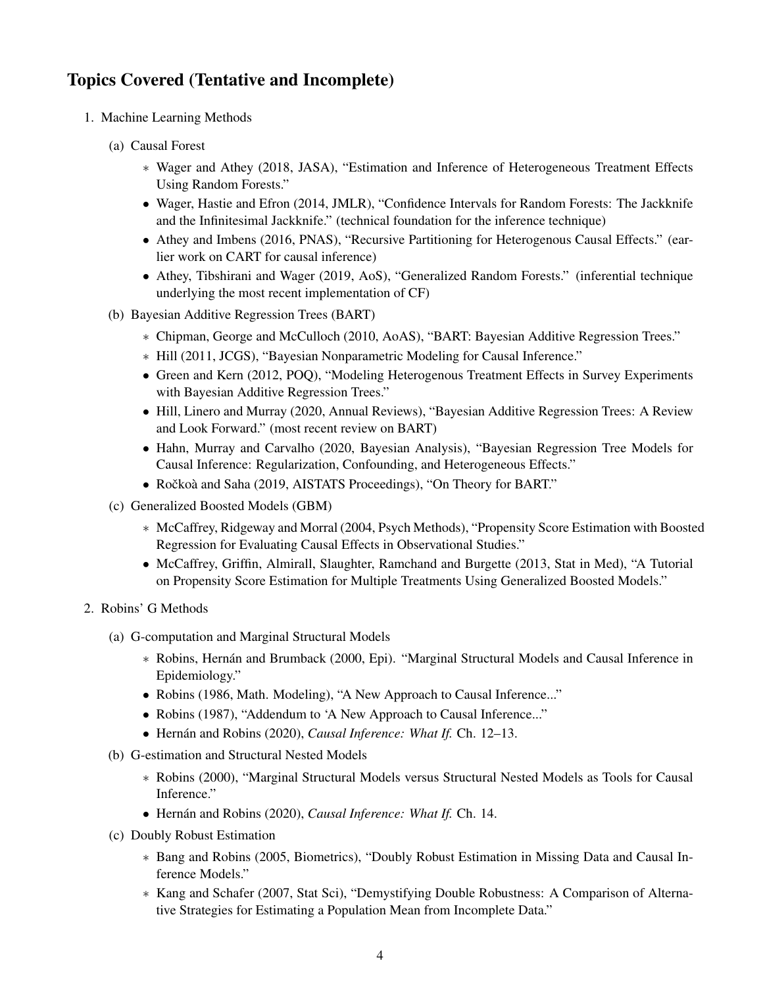### Topics Covered (Tentative and Incomplete)

- 1. Machine Learning Methods
	- (a) Causal Forest
		- ∗ Wager and Athey (2018, JASA), "Estimation and Inference of Heterogeneous Treatment Effects Using Random Forests."
		- Wager, Hastie and Efron (2014, JMLR), "Confidence Intervals for Random Forests: The Jackknife and the Infinitesimal Jackknife." (technical foundation for the inference technique)
		- Athey and Imbens (2016, PNAS), "Recursive Partitioning for Heterogenous Causal Effects." (earlier work on CART for causal inference)
		- Athey, Tibshirani and Wager (2019, AoS), "Generalized Random Forests." (inferential technique underlying the most recent implementation of CF)
	- (b) Bayesian Additive Regression Trees (BART)
		- ∗ Chipman, George and McCulloch (2010, AoAS), "BART: Bayesian Additive Regression Trees."
		- ∗ Hill (2011, JCGS), "Bayesian Nonparametric Modeling for Causal Inference."
		- Green and Kern (2012, POQ), "Modeling Heterogenous Treatment Effects in Survey Experiments with Bayesian Additive Regression Trees."
		- Hill, Linero and Murray (2020, Annual Reviews), "Bayesian Additive Regression Trees: A Review and Look Forward." (most recent review on BART)
		- Hahn, Murray and Carvalho (2020, Bayesian Analysis), "Bayesian Regression Tree Models for Causal Inference: Regularization, Confounding, and Heterogeneous Effects."
		- Ročkoà and Saha (2019, AISTATS Proceedings), "On Theory for BART."
	- (c) Generalized Boosted Models (GBM)
		- ∗ McCaffrey, Ridgeway and Morral (2004, Psych Methods), "Propensity Score Estimation with Boosted Regression for Evaluating Causal Effects in Observational Studies."
		- McCaffrey, Griffin, Almirall, Slaughter, Ramchand and Burgette (2013, Stat in Med), "A Tutorial on Propensity Score Estimation for Multiple Treatments Using Generalized Boosted Models."
- 2. Robins' G Methods
	- (a) G-computation and Marginal Structural Models
		- ∗ Robins, Hernan and Brumback (2000, Epi). "Marginal Structural Models and Causal Inference in ´ Epidemiology."
		- Robins (1986, Math. Modeling), "A New Approach to Causal Inference..."
		- Robins (1987), "Addendum to 'A New Approach to Causal Inference..."
		- Hernán and Robins (2020), *Causal Inference: What If.* Ch. 12–13.
	- (b) G-estimation and Structural Nested Models
		- ∗ Robins (2000), "Marginal Structural Models versus Structural Nested Models as Tools for Causal Inference."
		- Hernán and Robins (2020), *Causal Inference: What If. Ch. 14.*
	- (c) Doubly Robust Estimation
		- ∗ Bang and Robins (2005, Biometrics), "Doubly Robust Estimation in Missing Data and Causal Inference Models."
		- ∗ Kang and Schafer (2007, Stat Sci), "Demystifying Double Robustness: A Comparison of Alternative Strategies for Estimating a Population Mean from Incomplete Data."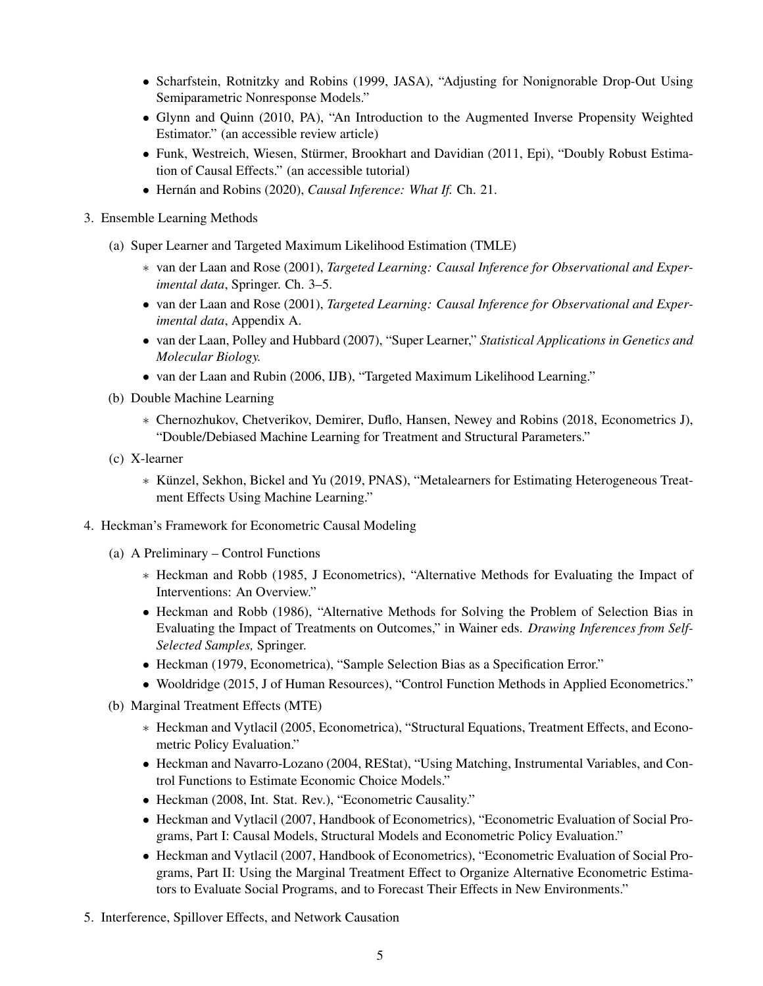- Scharfstein, Rotnitzky and Robins (1999, JASA), "Adjusting for Nonignorable Drop-Out Using Semiparametric Nonresponse Models."
- Glynn and Quinn (2010, PA), "An Introduction to the Augmented Inverse Propensity Weighted Estimator." (an accessible review article)
- Funk, Westreich, Wiesen, Stürmer, Brookhart and Davidian (2011, Epi), "Doubly Robust Estimation of Causal Effects." (an accessible tutorial)
- Hernán and Robins (2020), *Causal Inference: What If. Ch. 21.*
- 3. Ensemble Learning Methods
	- (a) Super Learner and Targeted Maximum Likelihood Estimation (TMLE)
		- ∗ van der Laan and Rose (2001), *Targeted Learning: Causal Inference for Observational and Experimental data*, Springer. Ch. 3–5.
		- van der Laan and Rose (2001), *Targeted Learning: Causal Inference for Observational and Experimental data*, Appendix A.
		- van der Laan, Polley and Hubbard (2007), "Super Learner," *Statistical Applications in Genetics and Molecular Biology.*
		- van der Laan and Rubin (2006, IJB), "Targeted Maximum Likelihood Learning."
	- (b) Double Machine Learning
		- ∗ Chernozhukov, Chetverikov, Demirer, Duflo, Hansen, Newey and Robins (2018, Econometrics J), "Double/Debiased Machine Learning for Treatment and Structural Parameters."
	- (c) X-learner
		- ∗ Kunzel, Sekhon, Bickel and Yu (2019, PNAS), "Metalearners for Estimating Heterogeneous Treat- ¨ ment Effects Using Machine Learning."
- 4. Heckman's Framework for Econometric Causal Modeling
	- (a) A Preliminary Control Functions
		- ∗ Heckman and Robb (1985, J Econometrics), "Alternative Methods for Evaluating the Impact of Interventions: An Overview."
		- Heckman and Robb (1986), "Alternative Methods for Solving the Problem of Selection Bias in Evaluating the Impact of Treatments on Outcomes," in Wainer eds. *Drawing Inferences from Self-Selected Samples,* Springer.
		- Heckman (1979, Econometrica), "Sample Selection Bias as a Specification Error."
		- Wooldridge (2015, J of Human Resources), "Control Function Methods in Applied Econometrics."
	- (b) Marginal Treatment Effects (MTE)
		- ∗ Heckman and Vytlacil (2005, Econometrica), "Structural Equations, Treatment Effects, and Econometric Policy Evaluation."
		- Heckman and Navarro-Lozano (2004, REStat), "Using Matching, Instrumental Variables, and Control Functions to Estimate Economic Choice Models."
		- Heckman (2008, Int. Stat. Rev.), "Econometric Causality."
		- Heckman and Vytlacil (2007, Handbook of Econometrics), "Econometric Evaluation of Social Programs, Part I: Causal Models, Structural Models and Econometric Policy Evaluation."
		- Heckman and Vytlacil (2007, Handbook of Econometrics), "Econometric Evaluation of Social Programs, Part II: Using the Marginal Treatment Effect to Organize Alternative Econometric Estimators to Evaluate Social Programs, and to Forecast Their Effects in New Environments."
- 5. Interference, Spillover Effects, and Network Causation